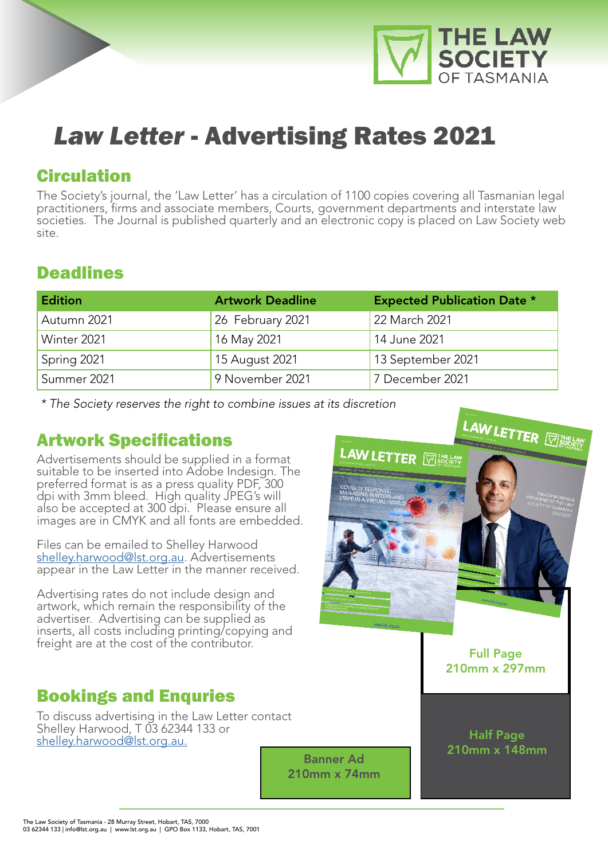

# *Law Letter* - Advertising Rates 2021

### Circulation

The Society's journal, the 'Law Letter' has a circulation of 1100 copies covering all Tasmanian legal practitioners, firms and associate members, Courts, government departments and interstate law societies. The Journal is published quarterly and an electronic copy is placed on Law Society web site.

# **Deadlines**

| <b>Edition</b> | <b>Artwork Deadline</b> | <b>Expected Publication Date *</b> |
|----------------|-------------------------|------------------------------------|
| Autumn 2021    | 26 February 2021        | 22 March 2021                      |
| Winter 2021    | 16 May 2021             | 14 June 2021                       |
| Spring 2021    | 15 August 2021          | 13 September 2021                  |
| Summer 2021    | 9 November 2021         | 7 December 2021                    |

*\* The Society reserves the right to combine issues at its discretion*

# Artwork Specifications

Advertisements should be supplied in a format suitable to be inserted into Adobe Indesign. The preferred format is as a press quality PDF, 300 dpi with 3mm bleed. High quality JPEG's will also be accepted at 300 dpi. Please ensure all images are in CMYK and all fonts are embedded.

Files can be emailed to Shelley Harwood shelley.harwood@lst.org.au. Advertisements appear in the Law Letter in the manner received.

Advertising rates do not include design and artwork, which remain the responsibility of the advertiser. Advertising can be supplied as inserts, all costs including printing/copying and freight are at the cost of the contributor.

# Bookings and Enquries

To discuss advertising in the Law Letter contact Shelley Harwood, T 03 62344 133 or shelley.harwood@lst.org.au.

210mm x 74mm



Full Page 210mm x 297mm

Half Page Banner Ad and 210mm x 148mm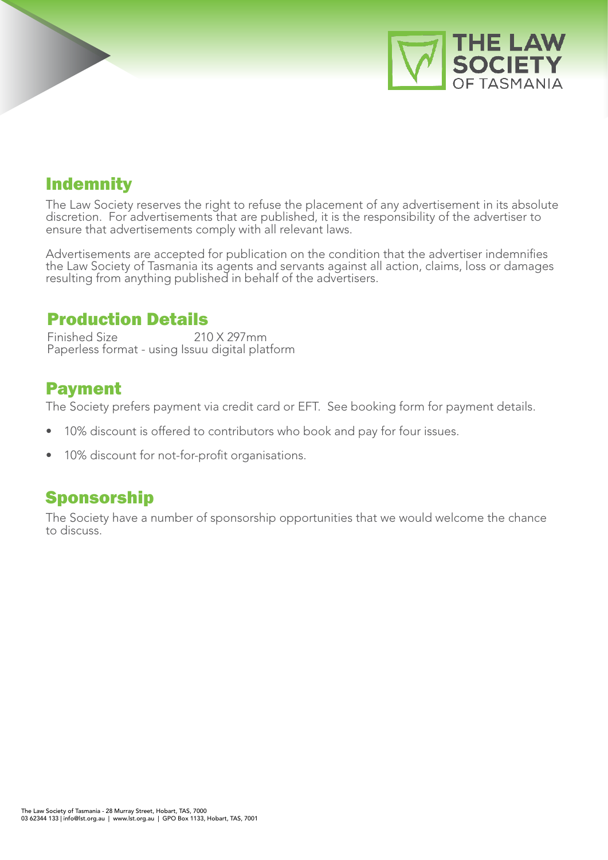

# Indemnity

The Law Society reserves the right to refuse the placement of any advertisement in its absolute discretion. For advertisements that are published, it is the responsibility of the advertiser to ensure that advertisements comply with all relevant laws.

Advertisements are accepted for publication on the condition that the advertiser indemnifies the Law Society of Tasmania its agents and servants against all action, claims, loss or damages resulting from anything published in behalf of the advertisers.

#### Production Details

Finished Size 210 X 297mm Paperless format - using Issuu digital platform

#### Payment

The Society prefers payment via credit card or EFT. See booking form for payment details.

- 10% discount is offered to contributors who book and pay for four issues.
- 10% discount for not-for-profit organisations.

#### Sponsorship

The Society have a number of sponsorship opportunities that we would welcome the chance to discuss.